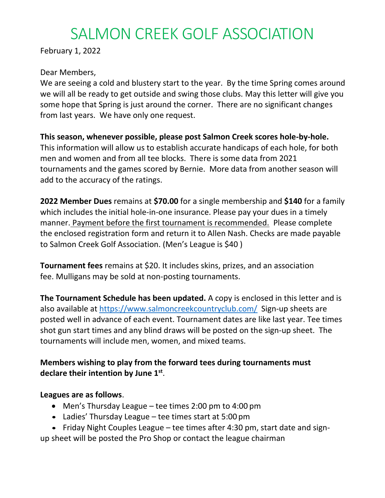# SALMON CREEK GOLF ASSOCIATION

February 1, 2022

## Dear Members,

We are seeing a cold and blustery start to the year. By the time Spring comes around we will all be ready to get outside and swing those clubs. May this letter will give you some hope that Spring is just around the corner. There are no significant changes from last years. We have only one request.

# **This season, whenever possible, please post Salmon Creek scores hole-by-hole.**

This information will allow us to establish accurate handicaps of each hole, for both men and women and from all tee blocks. There is some data from 2021 tournaments and the games scored by Bernie. More data from another season will add to the accuracy of the ratings.

**2022 Member Dues** remains at **\$70.00** for a single membership and **\$140** for a family which includes the initial hole-in-one insurance. Please pay your dues in a timely manner. Payment before the first tournament is recommended. Please complete the enclosed registration form and return it to Allen Nash. Checks are made payable to Salmon Creek Golf Association. (Men's League is \$40 )

**Tournament fees** remains at \$20. It includes skins, prizes, and an association fee. Mulligans may be sold at non-posting tournaments.

**The Tournament Schedule has been updated.** A copy is enclosed in this letter and is also available at<https://www.salmoncreekcountryclub.com/> Sign-up sheets are posted well in advance of each event. Tournament dates are like last year. Tee times shot gun start times and any blind draws will be posted on the sign-up sheet. The tournaments will include men, women, and mixed teams.

# **Members wishing to play from the forward tees during tournaments must declare their intention by June 1 st** .

## **Leagues are as follows**.

- Men's Thursday League tee times 2:00 pm to 4:00 pm
- Ladies' Thursday League tee times start at 5:00 pm
- Friday Night Couples League tee times after 4:30 pm, start date and sign-

up sheet will be posted the Pro Shop or contact the league chairman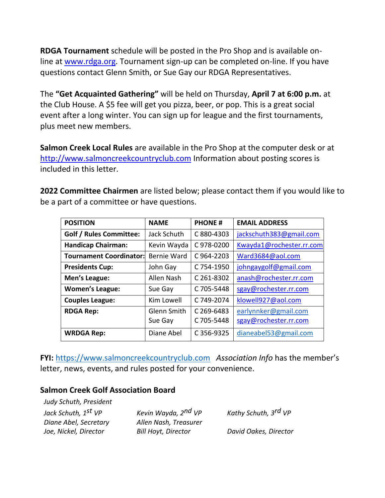**RDGA Tournament** schedule will be posted in the Pro Shop and is available online at [www.rdga.org.](http://www.rdga.org/) Tournament sign-up can be completed on-line. If you have questions contact Glenn Smith, or Sue Gay our RDGA Representatives.

The **"Get Acquainted Gathering"** will be held on Thursday, **April 7 at 6:00 p.m.** at the Club House. A \$5 fee will get you pizza, beer, or pop. This is a great social event after a long winter. You can sign up for league and the first tournaments, plus meet new members.

**Salmon Creek Local Rules** are available in the Pro Shop at the computer desk or at [http://www.salmoncreekcountryclub.com](http://www.salmoncreekcountryclub.com/golf.php) Information about posting scores is included in this letter.

**2022 Committee Chairmen** are listed below; please contact them if you would like to be a part of a committee or have questions.

| <b>POSITION</b>                | <b>NAME</b>        | <b>PHONE#</b> | <b>EMAIL ADDRESS</b>     |
|--------------------------------|--------------------|---------------|--------------------------|
| <b>Golf / Rules Committee:</b> | Jack Schuth        | C 880-4303    | jackschuth383@gmail.com  |
| <b>Handicap Chairman:</b>      | Kevin Wayda        | C 978-0200    | Kwayda1@rochester.rr.com |
| <b>Tournament Coordinator:</b> | <b>Bernie Ward</b> | C964-2203     | Ward3684@aol.com         |
| <b>Presidents Cup:</b>         | John Gay           | C 754-1950    | johngaygolf@gmail.com    |
| Men's League:                  | Allen Nash         | C 261-8302    | anash@rochester.rr.com   |
| <b>Women's League:</b>         | Sue Gay            | C 705-5448    | sgay@rochester.rr.com    |
| <b>Couples League:</b>         | Kim Lowell         | C 749-2074    | klowell927@aol.com       |
| <b>RDGA Rep:</b>               | Glenn Smith        | C 269-6483    | earlynnker@gmail.com     |
|                                | Sue Gay            | C 705-5448    | sgay@rochester.rr.com    |
| <b>WRDGA Rep:</b>              | Diane Abel         | C 356-9325    | dianeabel53@gmail.com    |

**FYI:** [https://www.salmoncreekcountryclub.com](https://www.salmoncreekcountryclub.com/) *Association Info* has the member's letter, news, events, and rules posted for your convenience.

### **Salmon Creek Golf Association Board**

| Kevin Wayda, 2 <sup>nd</sup> VP | Kathy Schuth, 3 <sup>rd</sup> VP |
|---------------------------------|----------------------------------|
| Allen Nash, Treasurer           |                                  |
| <b>Bill Hoyt, Director</b>      | David Oakes, Director            |
|                                 |                                  |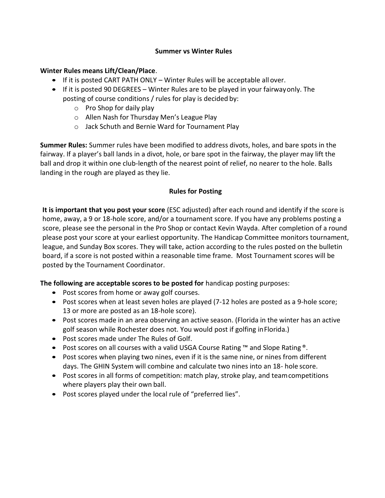#### **Summer vs Winter Rules**

#### **Winter Rules means Lift/Clean/Place**.

- If it is posted CART PATH ONLY Winter Rules will be acceptable all over.
- If it is posted 90 DEGREES Winter Rules are to be played in your fairwayonly. The posting of course conditions / rules for play is decided by:
	- $\circ$  Pro Shop for daily play
	- o Allen Nash for Thursday Men's League Play
	- o Jack Schuth and Bernie Ward for Tournament Play

**Summer Rules:** Summer rules have been modified to address divots, holes, and bare spots in the fairway. If a player's ball lands in a divot, hole, or bare spot in the fairway, the player may lift the ball and drop it within one club-length of the nearest point of relief, no nearer to the hole. Balls landing in the rough are played as they lie.

#### **Rules for Posting**

**It is important that you post your score** (ESC adjusted) after each round and identify if the score is home, away, a 9 or 18-hole score, and/or a tournament score. If you have any problems posting a score, please see the personal in the Pro Shop or contact Kevin Wayda. After completion of a round please post your score at your earliest opportunity. The Handicap Committee monitors tournament, league, and Sunday Box scores. They will take, action according to the rules posted on the bulletin board, if a score is not posted within a reasonable time frame. Most Tournament scores will be posted by the Tournament Coordinator.

#### **The following are acceptable scores to be posted for** handicap posting purposes:

- Post scores from home or away golf courses.
- Post scores when at least seven holes are played (7-12 holes are posted as a 9-hole score; 13 or more are posted as an 18-hole score).
- Post scores made in an area observing an active season. (Florida in the winter has an active golf season while Rochester does not. You would post if golfing inFlorida.)
- Post scores made under The Rules of Golf.
- Post scores on all courses with a valid USGA Course Rating ™ and Slope Rating ®.
- Post scores when playing two nines, even if it is the same nine, or nines from different days. The GHIN System will combine and calculate two nines into an 18- hole score.
- Post scores in all forms of competition: match play, stroke play, and team competitions where players play their own ball.
- Post scores played under the local rule of "preferred lies".